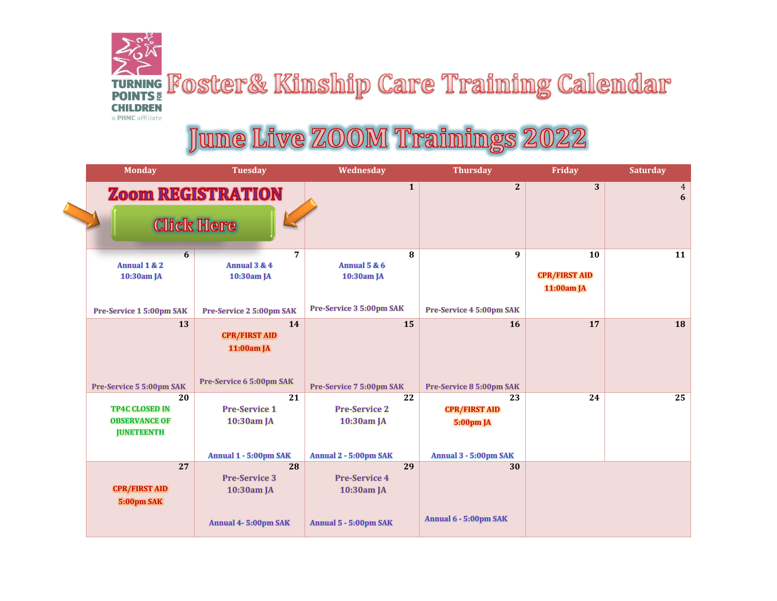## TURNING FOSter& Kinship Care Training Calendar **CHILDREN** a PHMC affiliate

## June Live ZOOM Trainings 2022

 $\blacktriangle$ 

| <b>Monday</b>              | <b>Tuesday</b>              | Wednesday                    | <b>Thursday</b>             | Friday               | <b>Saturday</b>     |
|----------------------------|-----------------------------|------------------------------|-----------------------------|----------------------|---------------------|
|                            | <b>Zoom REGISTRATION</b>    | $\mathbf{1}$                 | 2                           | 3                    | $\overline{4}$<br>6 |
| <b>Click Here</b>          |                             |                              |                             |                      |                     |
| 6                          | 7                           | 8                            | 9                           | 10                   | 11                  |
| Annual 1 & 2<br>10:30am JA | Annual 3 & 4<br>10:30am JA  | Annual $5 & 6$<br>10:30am JA |                             | <b>CPR/FIRST AID</b> |                     |
|                            |                             |                              |                             | 11:00am JA           |                     |
|                            |                             | Pre-Service 3 5:00pm SAK     |                             |                      |                     |
| Pre-Service 1 5:00pm SAK   | Pre-Service 2 5:00pm SAK    |                              | Pre-Service 4 5:00pm SAK    |                      |                     |
| 13                         | 14                          | 15                           | <b>16</b>                   | 17                   | 18                  |
|                            | <b>CPR/FIRST AID</b>        |                              |                             |                      |                     |
|                            | 11:00am JA                  |                              |                             |                      |                     |
|                            |                             |                              |                             |                      |                     |
| Pre-Service 5 5:00pm SAK   | Pre-Service 6 5:00pm SAK    | Pre-Service 7 5:00pm SAK     | Pre-Service 8 5:00pm SAK    |                      |                     |
| 20                         | 21                          | 22                           | 23                          | 24                   | 25                  |
| <b>TP4C CLOSED IN</b>      | <b>Pre-Service 1</b>        | <b>Pre-Service 2</b>         | <b>CPR/FIRST AID</b>        |                      |                     |
| <b>OBSERVANCE OF</b>       | 10:30am JA                  | 10:30am JA                   | <b>5:00pm JA</b>            |                      |                     |
| <b>JUNETEENTH</b>          |                             |                              |                             |                      |                     |
|                            |                             |                              |                             |                      |                     |
| 27                         | Annual 1 - 5:00pm SAK<br>28 | Annual 2 - 5:00pm SAK<br>29  | Annual 3 - 5:00pm SAK<br>30 |                      |                     |
|                            | <b>Pre-Service 3</b>        | <b>Pre-Service 4</b>         |                             |                      |                     |
| <b>CPR/FIRST AID</b>       | 10:30am JA                  | 10:30am JA                   |                             |                      |                     |
| 5:00pm SAK                 |                             |                              |                             |                      |                     |
|                            | Annual 4-5:00pm SAK         | Annual 5 - 5:00pm SAK        | Annual 6 - 5:00pm SAK       |                      |                     |